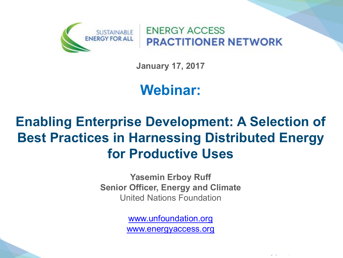

**ENERGY ACCESS PRACTITIONER NETWORK** 

**January 17, 2017** 

# **Webinar:**

## **Enabling Enterprise Development: A Selection of Best Practices in Harnessing Distributed Energy for Productive Uses**

**Yasemin Erboy Ruff Senior Officer, Energy and Climate** United Nations Foundation

> [www.unfoundation.org](http://www.unfoundation.org/)  [www.energyaccess.org](http://www.energyaccess.org/)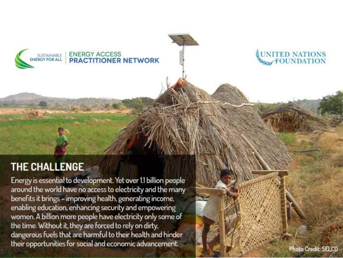



### THE CHALLENGE

Energy is essential to development. Yet over 1.1 billion people around the world have no access to electricity and the many benefits it brings - improving health, generating income, enabling education, enhancing security and empowering women. A billion more people have electricity only some of the time. Without it, they are forced to rely on dirty, dangerous fuels that are harmful to their health and hinder their opportunities for social and economic advancement.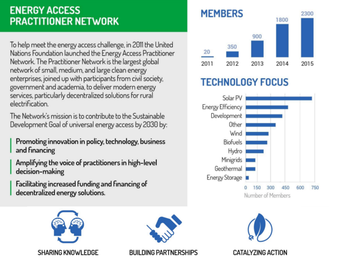### **ENERGY ACCESS PRACTITIONER NETWORK**

To help meet the energy access challenge, in 2011 the United Nations Foundation launched the Energy Access Practitioner Network. The Practitioner Network is the largest global network of small, medium, and large clean energy enterprises, joined up with participants from civil society, government and academia, to deliver modern energy services, particularly decentralized solutions for rural electrification.

The Network's mission is to contribute to the Sustainable Development Goal of universal energy access by 2030 by:

Promoting innovation in policy, technology, business and financing

Amplifying the voice of practitioners in high-level decision-making

Facilitating increased funding and financing of decentralized energy solutions.



### **TECHNOLOGY FOCUS**







**BUILDING PARTNERSHIPS** 



**CATALYZING ACTION**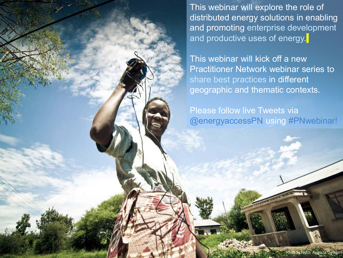This webinar will explore the role of distributed energy solutions in enabling and promoting enterprise development and productive uses of energy.

This webinar will kick off a new Practitioner Network webinar series to share best practices in different geographic and thematic contexts.

Please follow live Tweets via @energyaccessPN using #PNwebinar!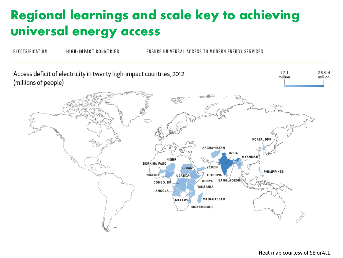## **Regional learnings and scale key to achieving universal energy access**

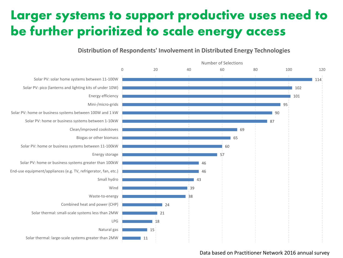## **Larger systems to support productive uses need to be further prioritized to scale energy access**

#### **Distribution of Respondents' Involvement in Distributed Energy Technologies**



#### Data based on Practitioner Network 2016 annual survey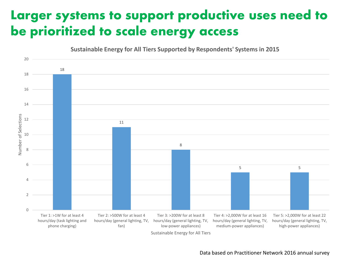## **Larger systems to support productive uses need to be prioritized to scale energy access**



Sustainable Energy for All Tiers

#### Data based on Practitioner Network 2016 annual survey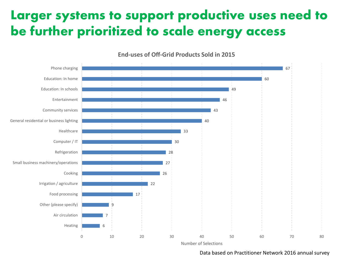## **Larger systems to support productive uses need to be further prioritized to scale energy access**



**End-uses of Off-Grid Products Sold in 2015**

Number of Selections

#### Data based on Practitioner Network 2016 annual survey